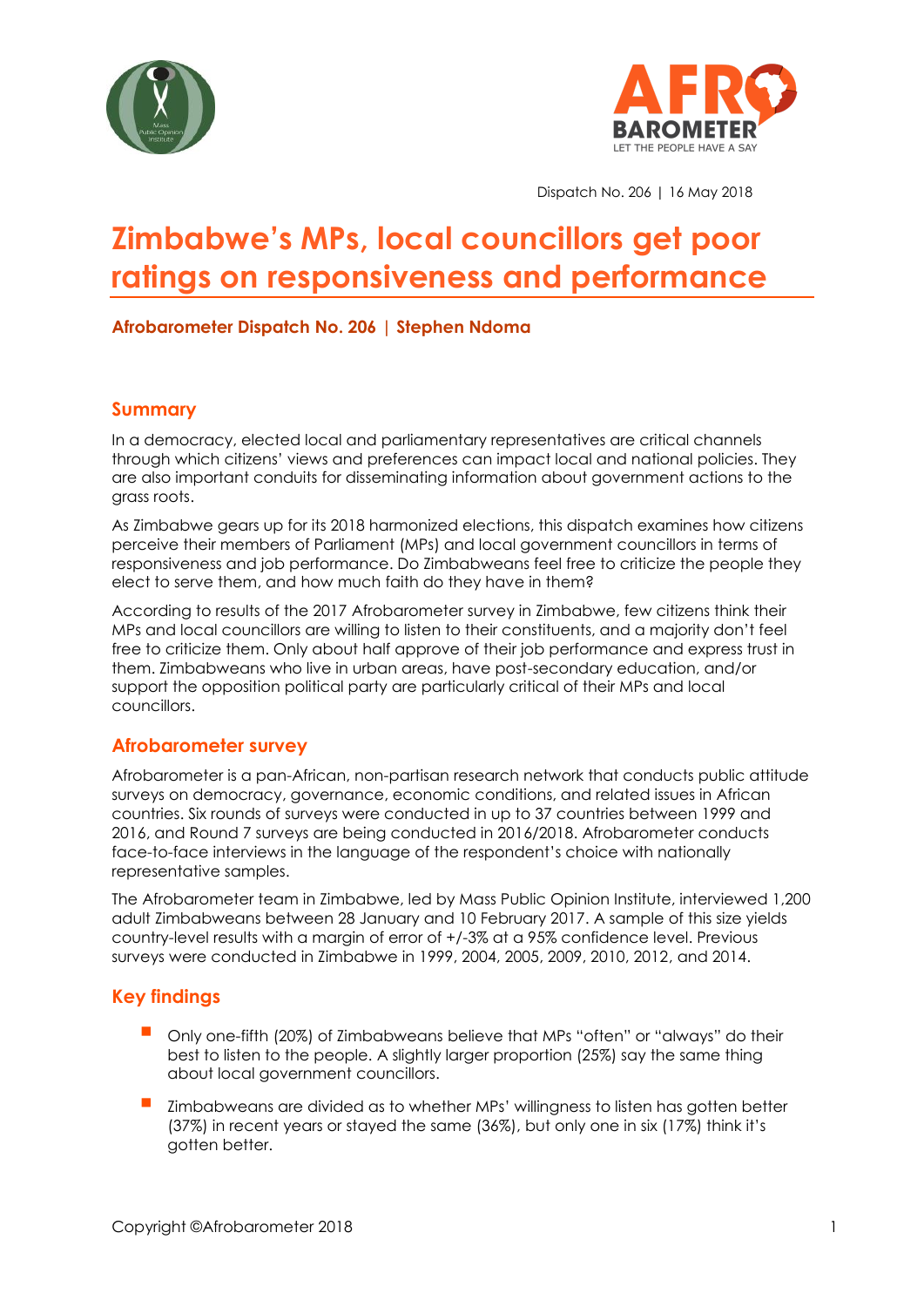



Dispatch No. 206 | 16 May 2018

# **Zimbabwe's MPs, local councillors get poor ratings on responsiveness and performance**

#### **Afrobarometer Dispatch No. 206 | Stephen Ndoma**

### **Summary**

In a democracy, elected local and parliamentary representatives are critical channels through which citizens' views and preferences can impact local and national policies. They are also important conduits for disseminating information about government actions to the grass roots.

As Zimbabwe gears up for its 2018 harmonized elections, this dispatch examines how citizens perceive their members of Parliament (MPs) and local government councillors in terms of responsiveness and job performance. Do Zimbabweans feel free to criticize the people they elect to serve them, and how much faith do they have in them?

According to results of the 2017 Afrobarometer survey in Zimbabwe, few citizens think their MPs and local councillors are willing to listen to their constituents, and a majority don't feel free to criticize them. Only about half approve of their job performance and express trust in them. Zimbabweans who live in urban areas, have post-secondary education, and/or support the opposition political party are particularly critical of their MPs and local councillors.

## **Afrobarometer survey**

Afrobarometer is a pan-African, non-partisan research network that conducts public attitude surveys on democracy, governance, economic conditions, and related issues in African countries. Six rounds of surveys were conducted in up to 37 countries between 1999 and 2016, and Round 7 surveys are being conducted in 2016/2018. Afrobarometer conducts face-to-face interviews in the language of the respondent's choice with nationally representative samples.

The Afrobarometer team in Zimbabwe, led by Mass Public Opinion Institute, interviewed 1,200 adult Zimbabweans between 28 January and 10 February 2017. A sample of this size yields country-level results with a margin of error of +/-3% at a 95% confidence level. Previous surveys were conducted in Zimbabwe in 1999, 2004, 2005, 2009, 2010, 2012, and 2014.

## **Key findings**

- Only one-fifth (20%) of Zimbabweans believe that MPs "often" or "always" do their best to listen to the people. A slightly larger proportion (25%) say the same thing about local government councillors.
- Zimbabweans are divided as to whether MPs' willingness to listen has gotten better (37%) in recent years or stayed the same (36%), but only one in six (17%) think it's gotten better.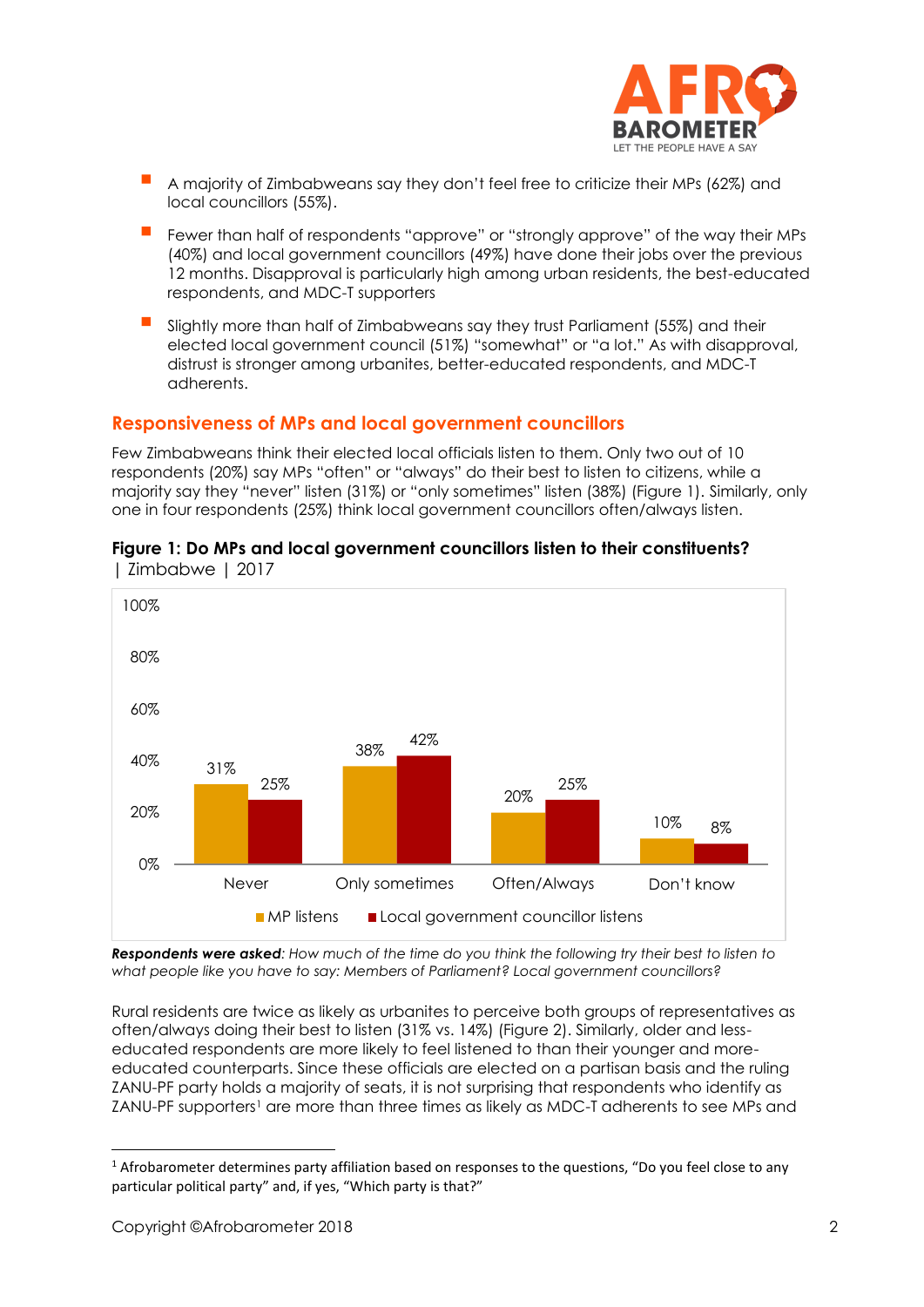

- A majority of Zimbabweans say they don't feel free to criticize their MPs (62%) and local councillors (55%).
- Fewer than half of respondents "approve" or "strongly approve" of the way their MPs (40%) and local government councillors (49%) have done their jobs over the previous 12 months. Disapproval is particularly high among urban residents, the best-educated respondents, and MDC-T supporters
- Slightly more than half of Zimbabweans say they trust Parliament (55%) and their elected local government council (51%) "somewhat" or "a lot." As with disapproval, distrust is stronger among urbanites, better-educated respondents, and MDC-T adherents.

### **Responsiveness of MPs and local government councillors**

Few Zimbabweans think their elected local officials listen to them. Only two out of 10 respondents (20%) say MPs "often" or "always" do their best to listen to citizens, while a majority say they "never" listen (31%) or "only sometimes" listen (38%) (Figure 1). Similarly, only one in four respondents (25%) think local government councillors often/always listen.



#### **Figure 1: Do MPs and local government councillors listen to their constituents?**  | Zimbabwe | 2017

*Respondents were asked: How much of the time do you think the following try their best to listen to what people like you have to say: Members of Parliament? Local government councillors?*

Rural residents are twice as likely as urbanites to perceive both groups of representatives as often/always doing their best to listen (31% vs. 14%) (Figure 2). Similarly, older and lesseducated respondents are more likely to feel listened to than their younger and moreeducated counterparts. Since these officials are elected on a partisan basis and the ruling ZANU-PF party holds a majority of seats, it is not surprising that respondents who identify as ZANU-PF supporters<sup>1</sup> are more than three times as likely as MDC-T adherents to see MPs and

<sup>1</sup> Afrobarometer determines party affiliation based on responses to the questions, "Do you feel close to any particular political party" and, if yes, "Which party is that?"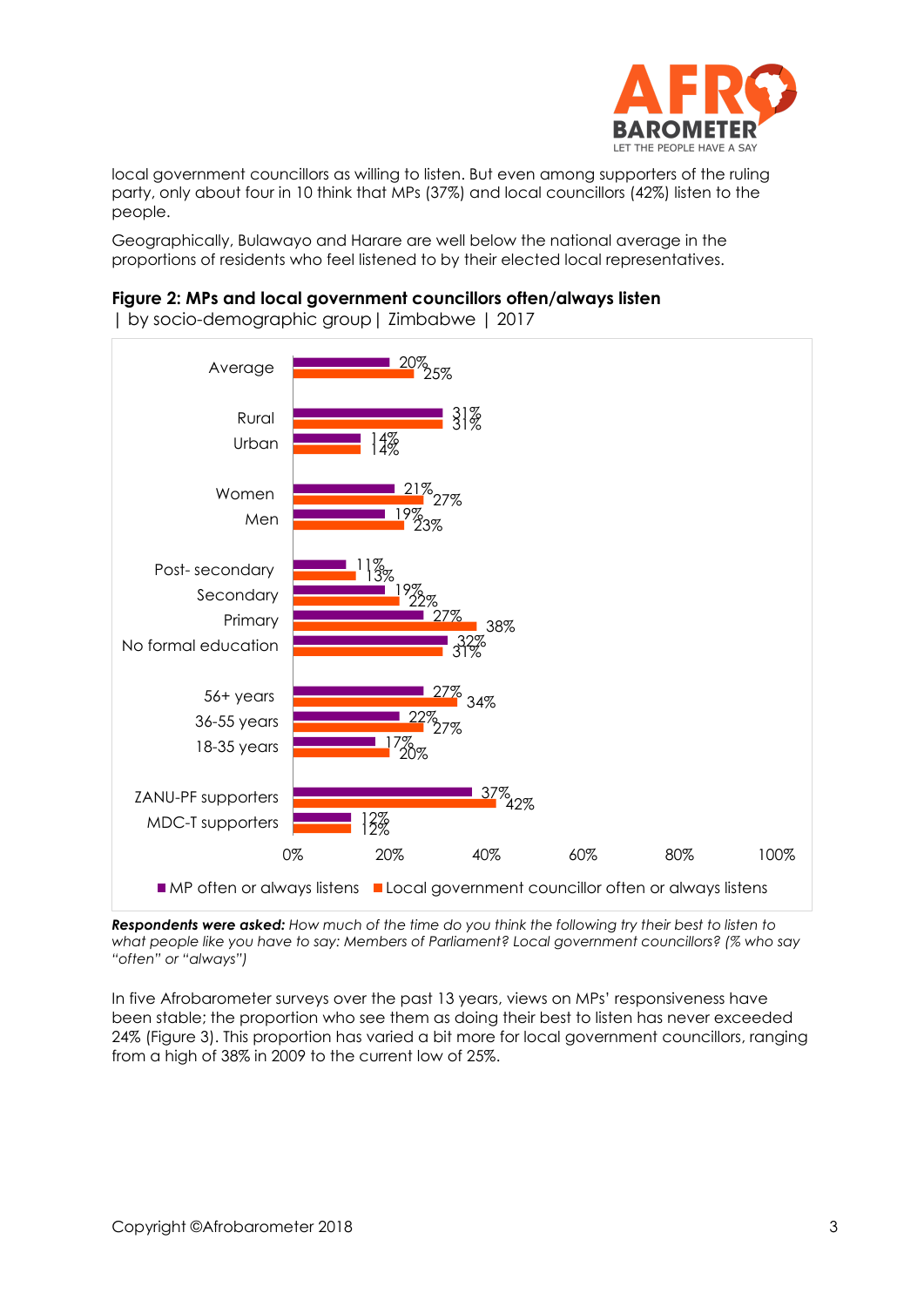

local government councillors as willing to listen. But even among supporters of the ruling party, only about four in 10 think that MPs (37%) and local councillors (42%) listen to the people.

Geographically, Bulawayo and Harare are well below the national average in the proportions of residents who feel listened to by their elected local representatives.

#### **Figure 2: MPs and local government councillors often/always listen**

| by socio-demographic group| Zimbabwe | 2017



*Respondents were asked: How much of the time do you think the following try their best to listen to what people like you have to say: Members of Parliament? Local government councillors? (% who say "often" or "always")*

In five Afrobarometer surveys over the past 13 years, views on MPs' responsiveness have been stable; the proportion who see them as doing their best to listen has never exceeded 24% (Figure 3). This proportion has varied a bit more for local government councillors, ranging from a high of 38% in 2009 to the current low of 25%.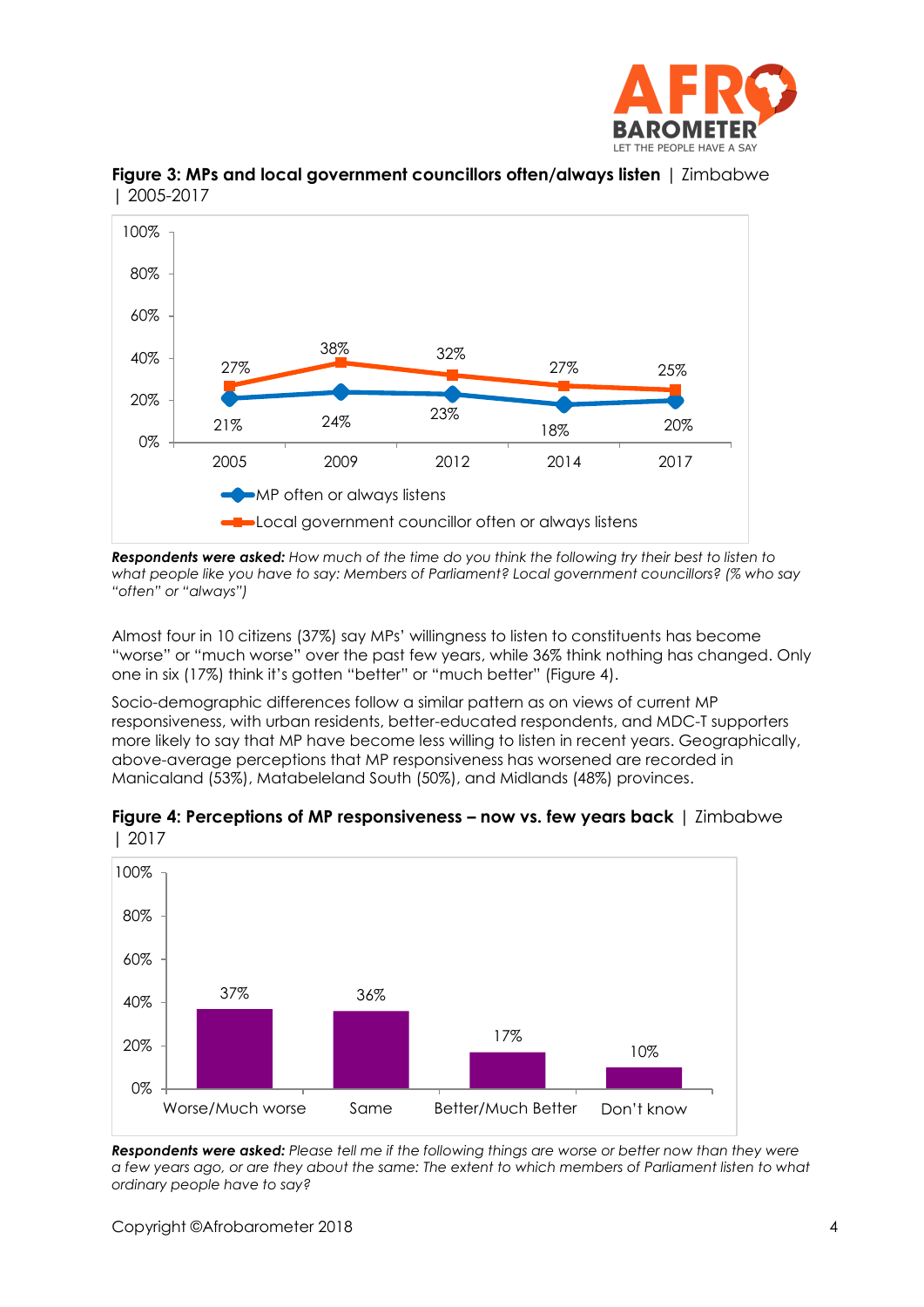



**Figure 3: MPs and local government councillors often/always listen** | Zimbabwe | 2005-2017

*Respondents were asked: How much of the time do you think the following try their best to listen to what people like you have to say: Members of Parliament? Local government councillors? (% who say "often" or "always")*

Almost four in 10 citizens (37%) say MPs' willingness to listen to constituents has become "worse" or "much worse" over the past few years, while 36% think nothing has changed. Only one in six (17%) think it's gotten "better" or "much better" (Figure 4).

Socio-demographic differences follow a similar pattern as on views of current MP responsiveness, with urban residents, better-educated respondents, and MDC-T supporters more likely to say that MP have become less willing to listen in recent years. Geographically, above-average perceptions that MP responsiveness has worsened are recorded in Manicaland (53%), Matabeleland South (50%), and Midlands (48%) provinces.



**Figure 4: Perceptions of MP responsiveness – now vs. few years back** | Zimbabwe | 2017

*Respondents were asked: Please tell me if the following things are worse or better now than they were a few years ago, or are they about the same: The extent to which members of Parliament listen to what ordinary people have to say?*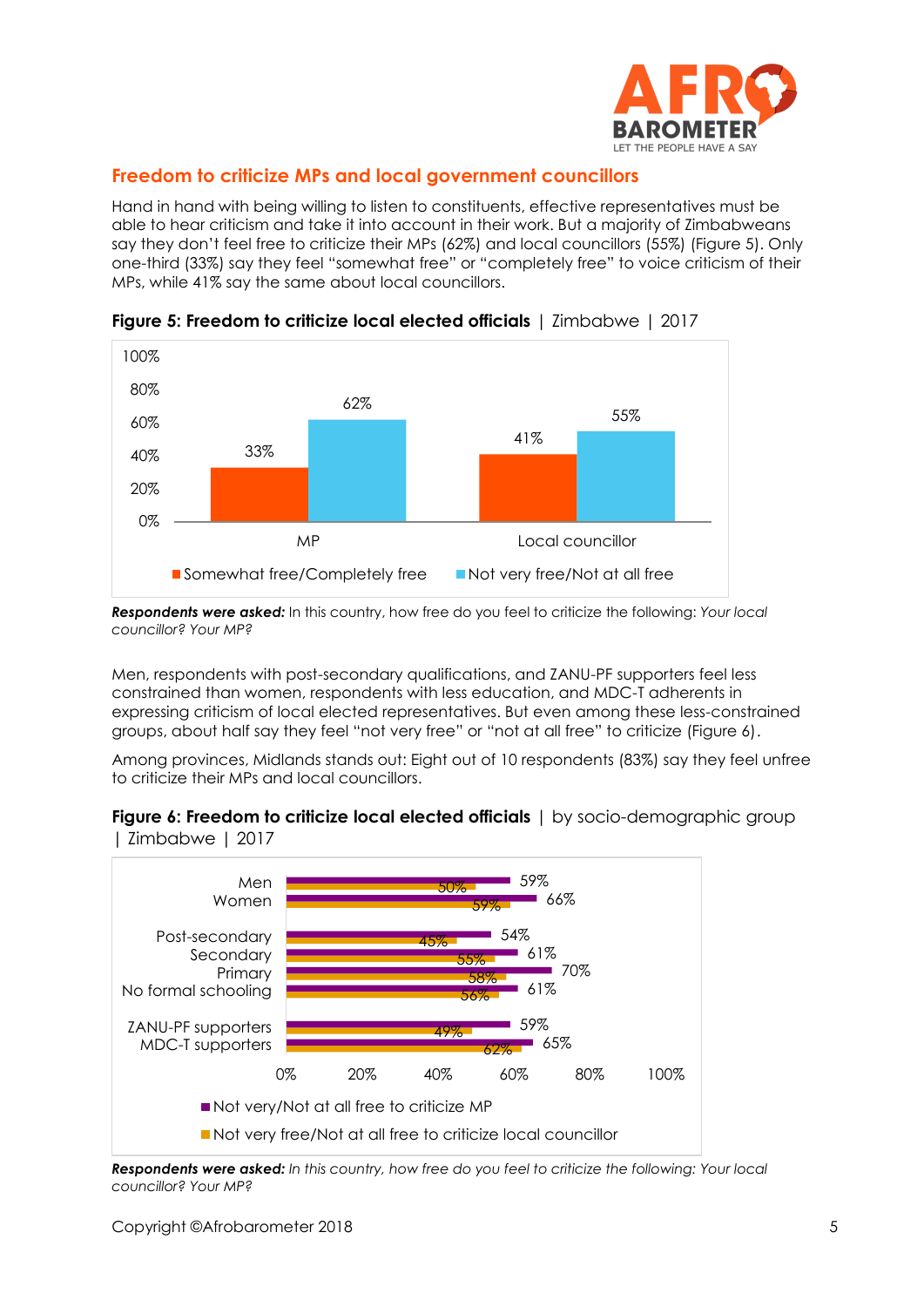

## **Freedom to criticize MPs and local government councillors**

Hand in hand with being willing to listen to constituents, effective representatives must be able to hear criticism and take it into account in their work. But a majority of Zimbabweans say they don't feel free to criticize their MPs (62%) and local councillors (55%) (Figure 5). Only one-third (33%) say they feel "somewhat free" or "completely free" to voice criticism of their MPs, while 41% say the same about local councillors.



**Figure 5: Freedom to criticize local elected officials** | Zimbabwe | 2017

*Respondents were asked:* In this country, how free do you feel to criticize the following: *Your local councillor? Your MP?*

Men, respondents with post-secondary qualifications, and ZANU-PF supporters feel less constrained than women, respondents with less education, and MDC-T adherents in expressing criticism of local elected representatives. But even among these less-constrained groups, about half say they feel "not very free" or "not at all free" to criticize (Figure 6).

Among provinces, Midlands stands out: Eight out of 10 respondents (83%) say they feel unfree to criticize their MPs and local councillors.





*Respondents were asked: In this country, how free do you feel to criticize the following: Your local councillor? Your MP?*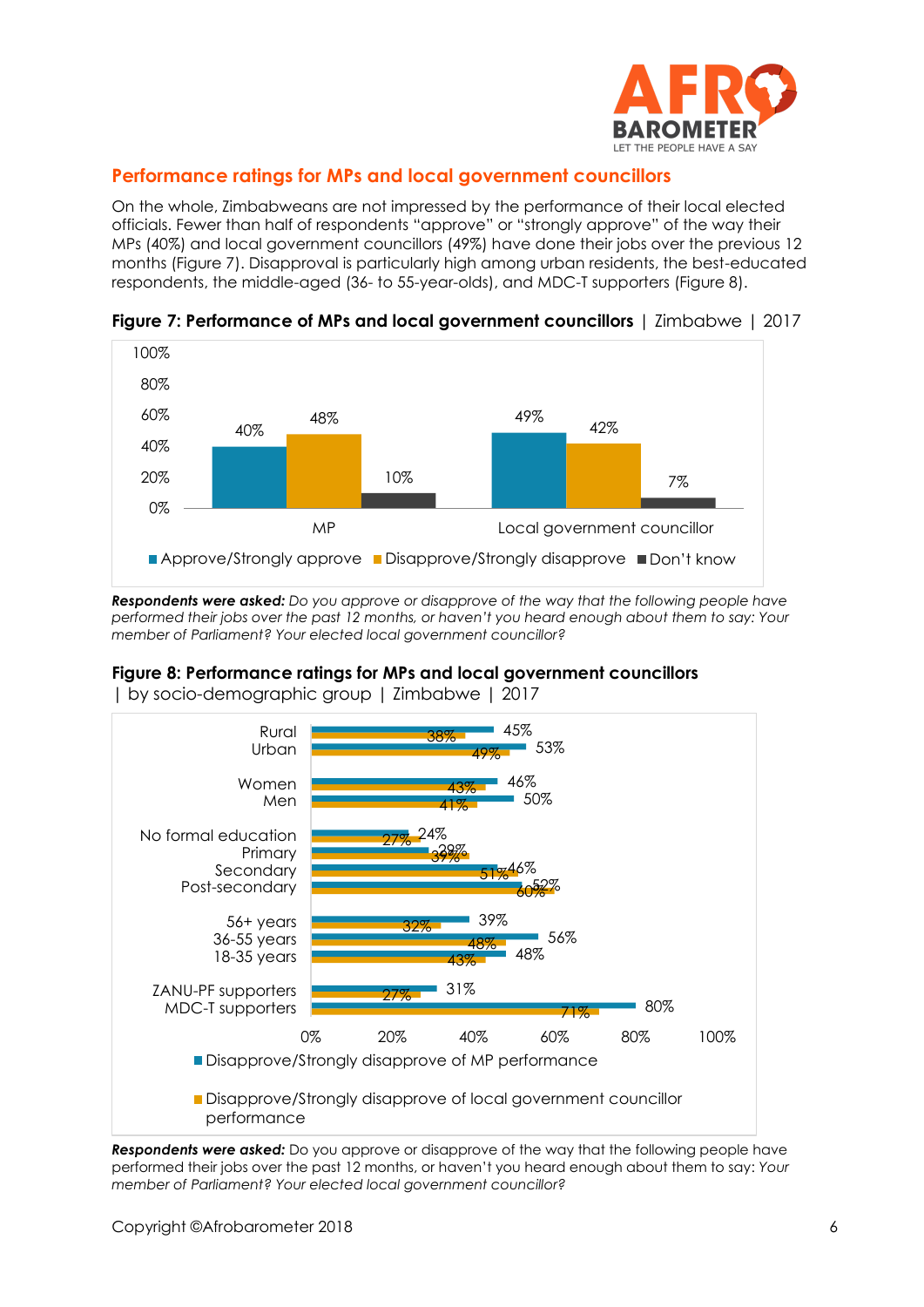

## **Performance ratings for MPs and local government councillors**

On the whole, Zimbabweans are not impressed by the performance of their local elected officials. Fewer than half of respondents "approve" or "strongly approve" of the way their MPs (40%) and local government councillors (49%) have done their jobs over the previous 12 months (Figure 7). Disapproval is particularly high among urban residents, the best-educated respondents, the middle-aged (36- to 55-year-olds), and MDC-T supporters (Figure 8).



**Figure 7: Performance of MPs and local government councillors** | Zimbabwe | 2017

*Respondents were asked: Do you approve or disapprove of the way that the following people have performed their jobs over the past 12 months, or haven't you heard enough about them to say: Your member of Parliament? Your elected local government councillor?*

#### **Figure 8: Performance ratings for MPs and local government councillors**



| by socio-demographic group | Zimbabwe | 2017

**Respondents were asked:** Do you approve or disapprove of the way that the following people have performed their jobs over the past 12 months, or haven't you heard enough about them to say: *Your member of Parliament? Your elected local government councillor?*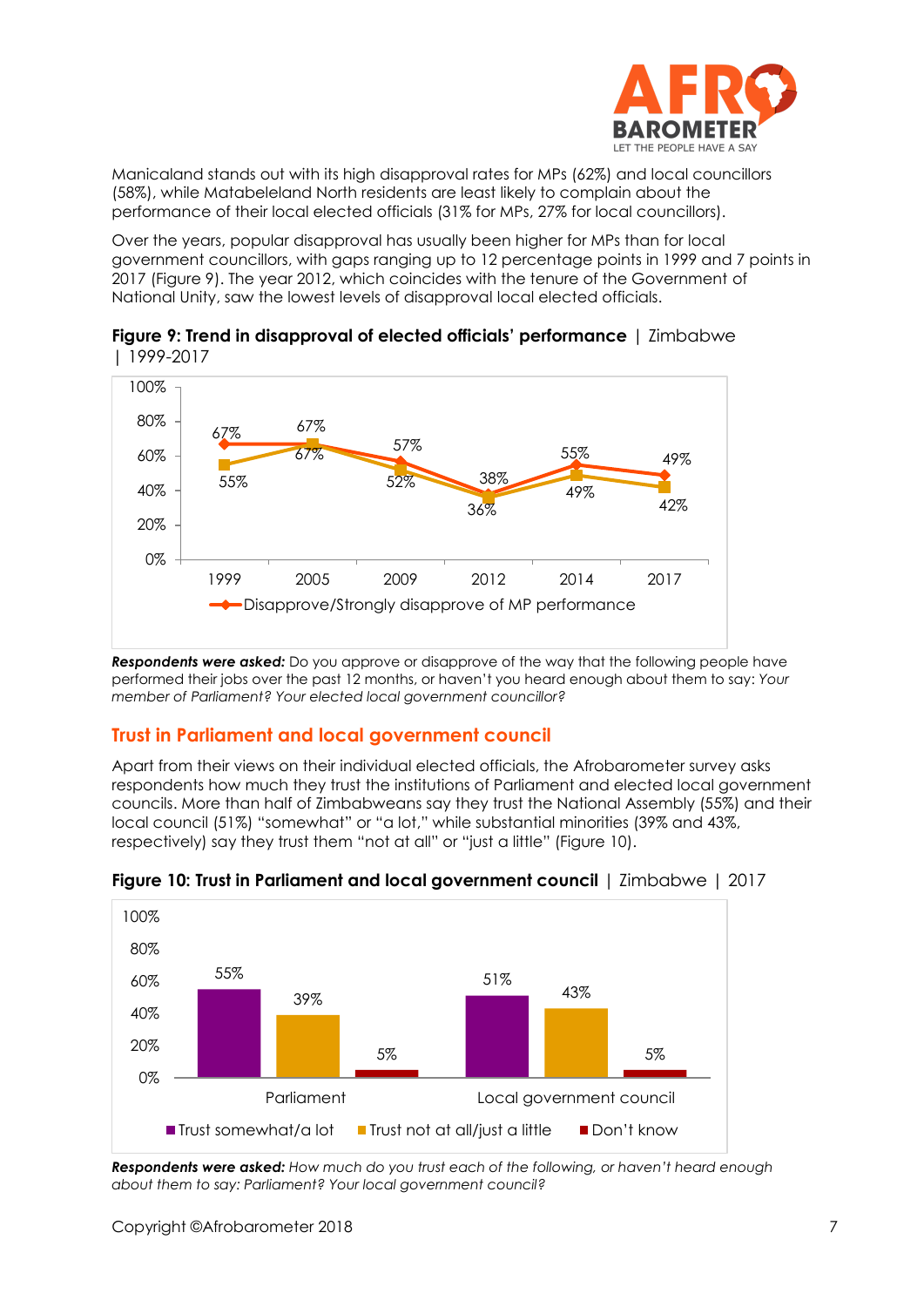

Manicaland stands out with its high disapproval rates for MPs (62%) and local councillors (58%), while Matabeleland North residents are least likely to complain about the performance of their local elected officials (31% for MPs, 27% for local councillors).

Over the years, popular disapproval has usually been higher for MPs than for local government councillors, with gaps ranging up to 12 percentage points in 1999 and 7 points in 2017 (Figure 9). The year 2012, which coincides with the tenure of the Government of National Unity, saw the lowest levels of disapproval local elected officials.





*Respondents were asked:* Do you approve or disapprove of the way that the following people have performed their jobs over the past 12 months, or haven't you heard enough about them to say: *Your member of Parliament? Your elected local government councillor?*

## **Trust in Parliament and local government council**

Apart from their views on their individual elected officials, the Afrobarometer survey asks respondents how much they trust the institutions of Parliament and elected local government councils. More than half of Zimbabweans say they trust the National Assembly (55%) and their local council (51%) "somewhat" or "a lot," while substantial minorities (39% and 43%, respectively) say they trust them "not at all" or "just a little" (Figure 10).



**Figure 10: Trust in Parliament and local government council** | Zimbabwe | 2017

*Respondents were asked: How much do you trust each of the following, or haven't heard enough about them to say: Parliament? Your local government council?*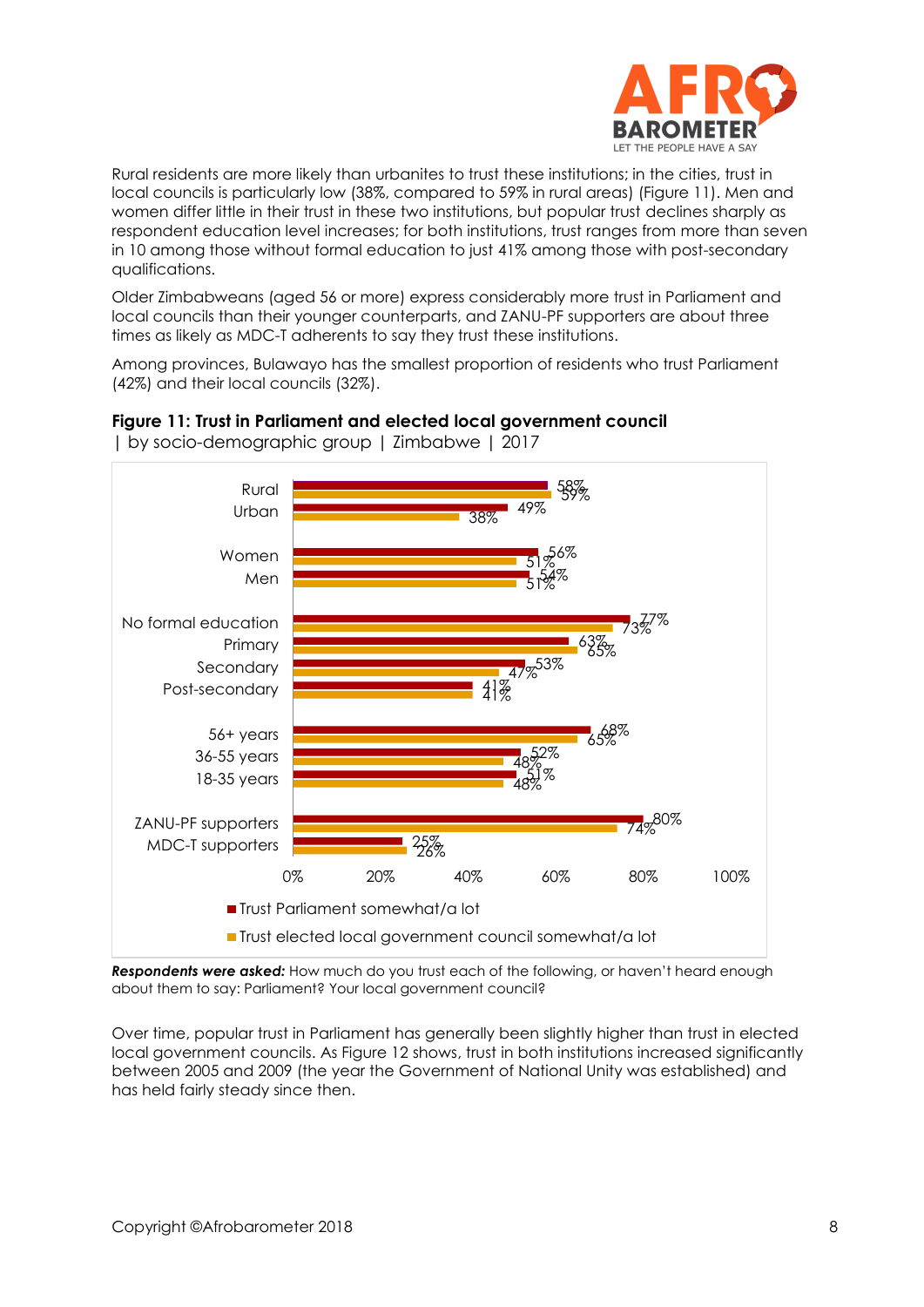

Rural residents are more likely than urbanites to trust these institutions; in the cities, trust in local councils is particularly low (38%, compared to 59% in rural areas) (Figure 11). Men and women differ little in their trust in these two institutions, but popular trust declines sharply as respondent education level increases; for both institutions, trust ranges from more than seven in 10 among those without formal education to just 41% among those with post-secondary qualifications.

Older Zimbabweans (aged 56 or more) express considerably more trust in Parliament and local councils than their younger counterparts, and ZANU-PF supporters are about three times as likely as MDC-T adherents to say they trust these institutions.

Among provinces, Bulawayo has the smallest proportion of residents who trust Parliament (42%) and their local councils (32%).



**Figure 11: Trust in Parliament and elected local government council** 

| by socio-demographic group | Zimbabwe | 2017

*Respondents were asked:* How much do you trust each of the following, or haven't heard enough about them to say: Parliament? Your local government council?

Over time, popular trust in Parliament has generally been slightly higher than trust in elected local government councils. As Figure 12 shows, trust in both institutions increased significantly between 2005 and 2009 (the year the Government of National Unity was established) and has held fairly steady since then.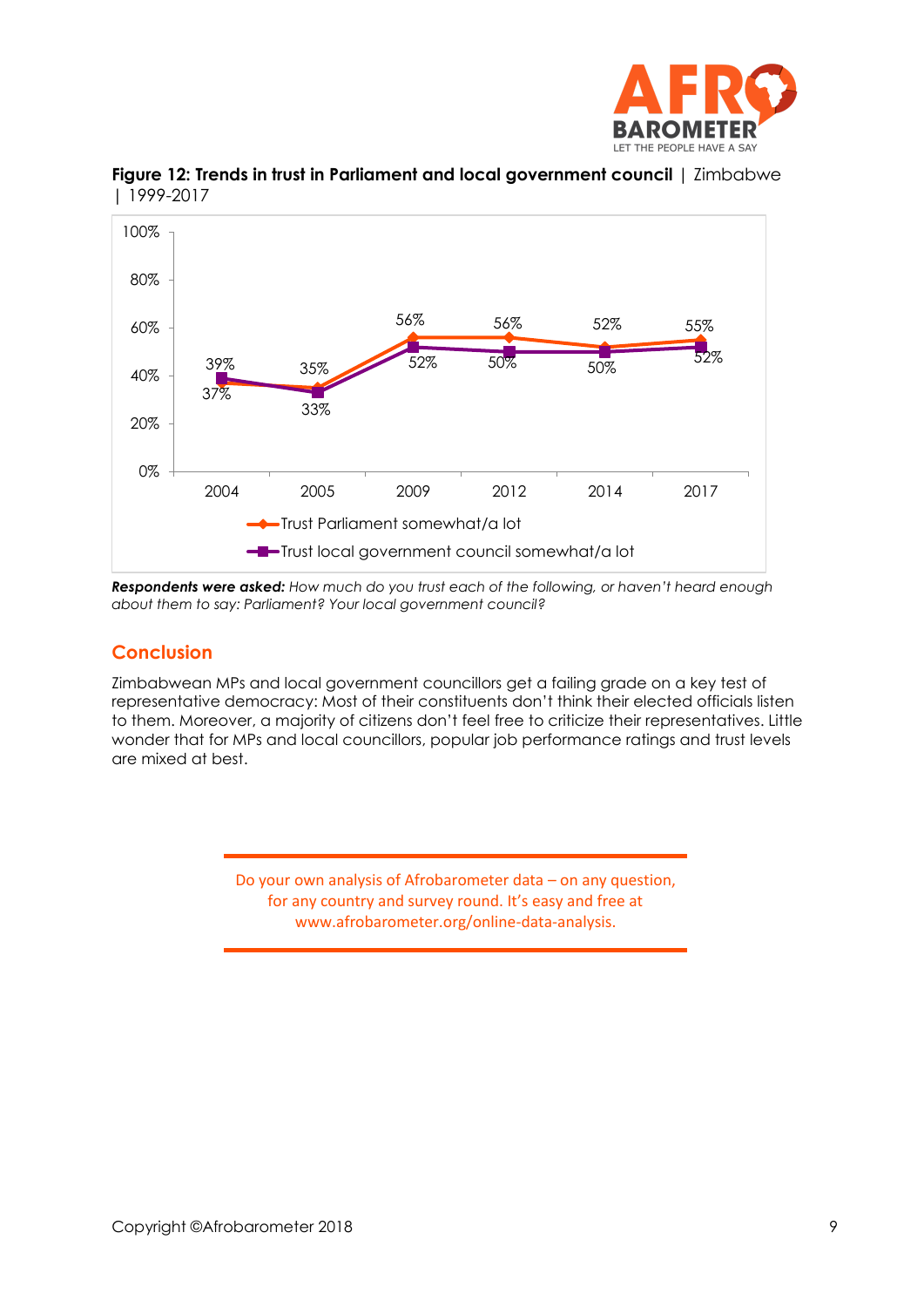



**Figure 12: Trends in trust in Parliament and local government council** | Zimbabwe | 1999-2017

*Respondents were asked: How much do you trust each of the following, or haven't heard enough about them to say: Parliament? Your local government council?* 

#### **Conclusion**

Zimbabwean MPs and local government councillors get a failing grade on a key test of representative democracy: Most of their constituents don't think their elected officials listen to them. Moreover, a majority of citizens don't feel free to criticize their representatives. Little wonder that for MPs and local councillors, popular job performance ratings and trust levels are mixed at best.

> Do your own analysis of Afrobarometer data – on any question, for any country and survey round. It's easy and free at www.afrobarometer.org/online-data-analysis.